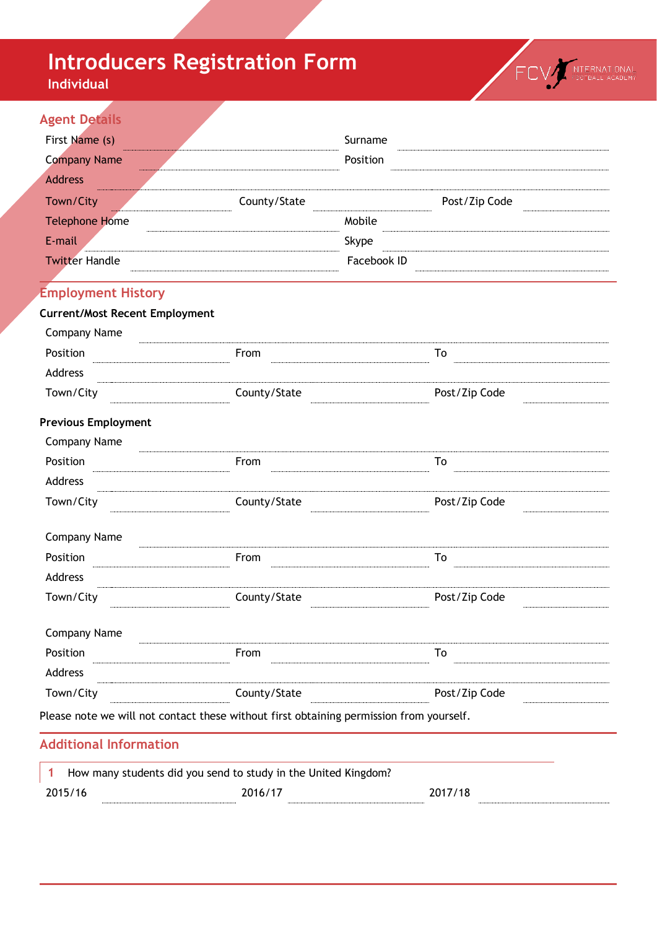# **Introducers Registration Form**

**Individual**



## **Agent Details**

| First Name (s)                                                                          |              | Surname     |               |
|-----------------------------------------------------------------------------------------|--------------|-------------|---------------|
| <b>Company Name</b>                                                                     |              | Position    |               |
| <b>Address</b>                                                                          |              |             |               |
| Town/City                                                                               | County/State |             | Post/Zip Code |
| <b>Telephone Home</b>                                                                   |              | Mobile      |               |
| E-mail                                                                                  |              | Skype       |               |
| <b>Twitter Handle</b>                                                                   |              | Facebook ID |               |
|                                                                                         |              |             |               |
| <b>Employment History</b>                                                               |              |             |               |
| <b>Current/Most Recent Employment</b>                                                   |              |             |               |
| <b>Company Name</b>                                                                     |              |             |               |
| Position                                                                                | From         |             | To            |
| Address                                                                                 |              |             |               |
| Town/City                                                                               | County/State |             | Post/Zip Code |
| <b>Previous Employment</b>                                                              |              |             |               |
| <b>Company Name</b>                                                                     |              |             |               |
| Position                                                                                | From         |             | To            |
| Address                                                                                 |              |             |               |
| Town/City                                                                               | County/State |             | Post/Zip Code |
| <b>Company Name</b>                                                                     |              |             |               |
| Position                                                                                | From         |             | To            |
| Address                                                                                 |              |             |               |
| Town/City                                                                               | County/State |             | Post/Zip Code |
| <b>Company Name</b>                                                                     |              |             |               |
| Position                                                                                | From         |             | To            |
| Address                                                                                 |              |             |               |
| Town/City                                                                               | County/State |             | Post/Zip Code |
| Please note we will not contact these without first obtaining permission from yourself. |              |             |               |
| <b>Additional Information</b>                                                           |              |             |               |
|                                                                                         |              |             |               |

|         | How many students did you send to study in the United Kingdom? |  |         |  |  |
|---------|----------------------------------------------------------------|--|---------|--|--|
| 2015/16 | 2016/17                                                        |  | 2017/18 |  |  |
|         |                                                                |  |         |  |  |